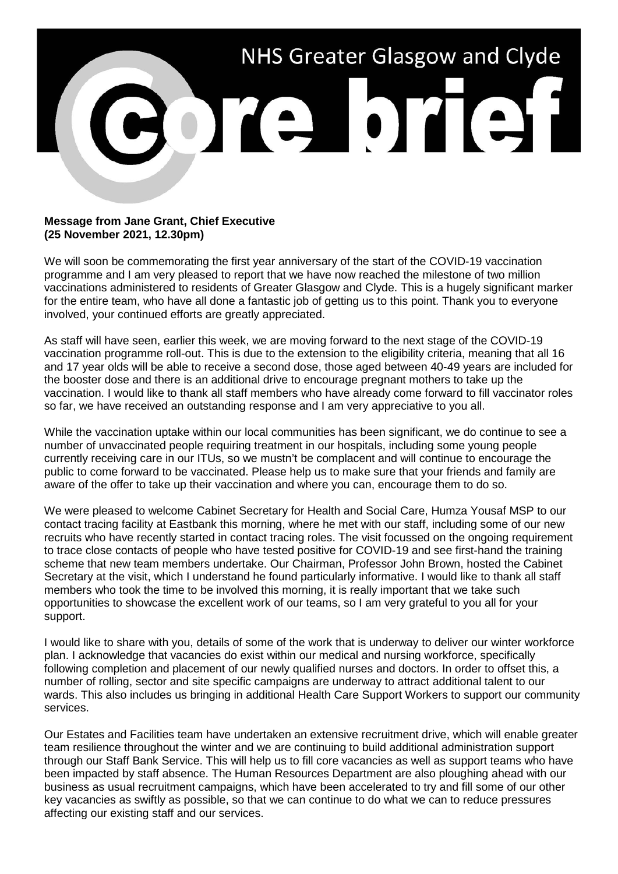

## **Message from Jane Grant, Chief Executive (25 November 2021, 12.30pm)**

We will soon be commemorating the first year anniversary of the start of the COVID-19 vaccination programme and I am very pleased to report that we have now reached the milestone of two million vaccinations administered to residents of Greater Glasgow and Clyde. This is a hugely significant marker for the entire team, who have all done a fantastic job of getting us to this point. Thank you to everyone involved, your continued efforts are greatly appreciated.

As staff will have seen, earlier this week, we are moving forward to the next stage of the COVID-19 vaccination programme roll-out. This is due to the extension to the eligibility criteria, meaning that all 16 and 17 year olds will be able to receive a second dose, those aged between 40-49 years are included for the booster dose and there is an additional drive to encourage pregnant mothers to take up the vaccination. I would like to thank all staff members who have already come forward to fill vaccinator roles so far, we have received an outstanding response and I am very appreciative to you all.

While the vaccination uptake within our local communities has been significant, we do continue to see a number of unvaccinated people requiring treatment in our hospitals, including some young people currently receiving care in our ITUs, so we mustn't be complacent and will continue to encourage the public to come forward to be vaccinated. Please help us to make sure that your friends and family are aware of the offer to take up their vaccination and where you can, encourage them to do so.

We were pleased to welcome Cabinet Secretary for Health and Social Care, Humza Yousaf MSP to our contact tracing facility at Eastbank this morning, where he met with our staff, including some of our new recruits who have recently started in contact tracing roles. The visit focussed on the ongoing requirement to trace close contacts of people who have tested positive for COVID-19 and see first-hand the training scheme that new team members undertake. Our Chairman, Professor John Brown, hosted the Cabinet Secretary at the visit, which I understand he found particularly informative. I would like to thank all staff members who took the time to be involved this morning, it is really important that we take such opportunities to showcase the excellent work of our teams, so I am very grateful to you all for your support.

I would like to share with you, details of some of the work that is underway to deliver our winter workforce plan. I acknowledge that vacancies do exist within our medical and nursing workforce, specifically following completion and placement of our newly qualified nurses and doctors. In order to offset this, a number of rolling, sector and site specific campaigns are underway to attract additional talent to our wards. This also includes us bringing in additional Health Care Support Workers to support our community services.

Our Estates and Facilities team have undertaken an extensive recruitment drive, which will enable greater team resilience throughout the winter and we are continuing to build additional administration support through our Staff Bank Service. This will help us to fill core vacancies as well as support teams who have been impacted by staff absence. The Human Resources Department are also ploughing ahead with our business as usual recruitment campaigns, which have been accelerated to try and fill some of our other key vacancies as swiftly as possible, so that we can continue to do what we can to reduce pressures affecting our existing staff and our services.